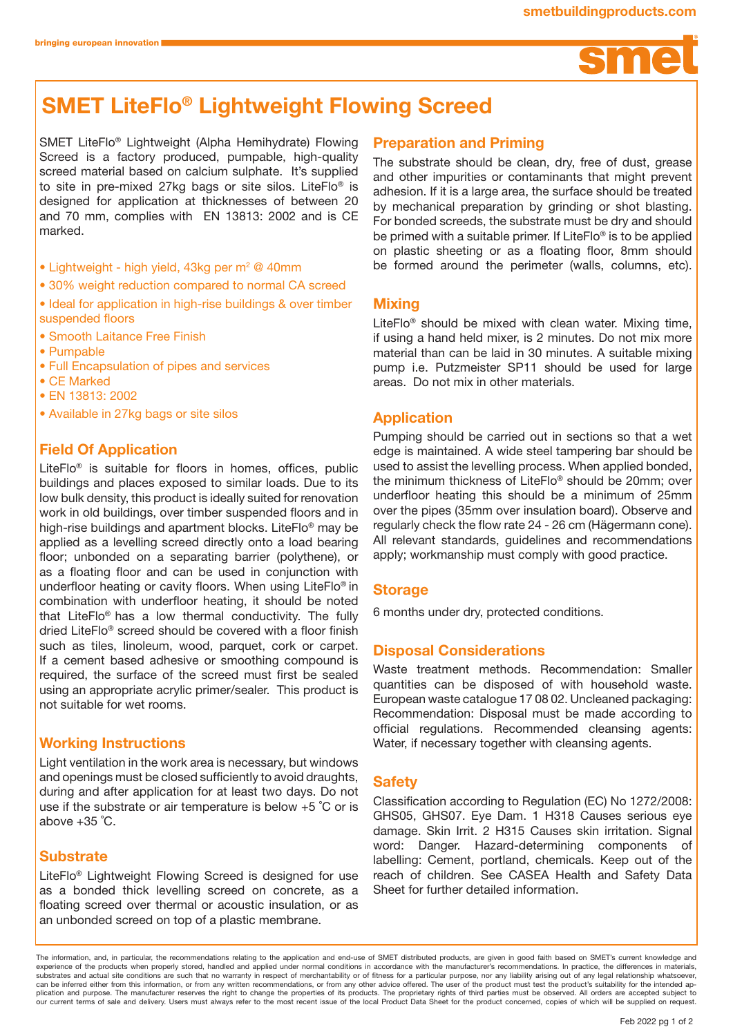

# SMET LiteFlo® Lightweight Flowing Screed

SMET LiteFlo® Lightweight (Alpha Hemihydrate) Flowing Screed is a factory produced, pumpable, high-quality screed material based on calcium sulphate. It's supplied to site in pre-mixed 27kg bags or site silos. LiteFlo® is designed for application at thicknesses of between 20 and 70 mm, complies with EN 13813: 2002 and is CE marked.

- Lightweight high yield, 43kg per m<sup>2</sup> @ 40mm
- 30% weight reduction compared to normal CA screed
- Ideal for application in high-rise buildings & over timber suspended floors
- Smooth Laitance Free Finish
- Pumpable
- Full Encapsulation of pipes and services
- CE Marked
- EN 13813: 2002
- Available in 27kg bags or site silos

# Field Of Application

LiteFlo® is suitable for floors in homes, offices, public buildings and places exposed to similar loads. Due to its low bulk density, this product is ideally suited for renovation work in old buildings, over timber suspended floors and in high-rise buildings and apartment blocks. LiteFlo® may be applied as a levelling screed directly onto a load bearing floor; unbonded on a separating barrier (polythene), or as a floating floor and can be used in conjunction with underfloor heating or cavity floors. When using LiteFlo® in combination with underfloor heating, it should be noted that LiteFlo® has a low thermal conductivity. The fully dried LiteFlo® screed should be covered with a floor finish such as tiles, linoleum, wood, parquet, cork or carpet. If a cement based adhesive or smoothing compound is required, the surface of the screed must first be sealed using an appropriate acrylic primer/sealer. This product is not suitable for wet rooms.

# Working Instructions

Light ventilation in the work area is necessary, but windows and openings must be closed sufficiently to avoid draughts, during and after application for at least two days. Do not use if the substrate or air temperature is below +5 ˚C or is above +35 ˚C.

# **Substrate**

LiteFlo® Lightweight Flowing Screed is designed for use as a bonded thick levelling screed on concrete, as a floating screed over thermal or acoustic insulation, or as an unbonded screed on top of a plastic membrane.

# Preparation and Priming

The substrate should be clean, dry, free of dust, grease and other impurities or contaminants that might prevent adhesion. If it is a large area, the surface should be treated by mechanical preparation by grinding or shot blasting. For bonded screeds, the substrate must be dry and should be primed with a suitable primer. If LiteFlo® is to be applied on plastic sheeting or as a floating floor, 8mm should be formed around the perimeter (walls, columns, etc).

#### **Mixing**

LiteFlo® should be mixed with clean water. Mixing time, if using a hand held mixer, is 2 minutes. Do not mix more material than can be laid in 30 minutes. A suitable mixing pump i.e. Putzmeister SP11 should be used for large areas. Do not mix in other materials.

## Application

Pumping should be carried out in sections so that a wet edge is maintained. A wide steel tampering bar should be used to assist the levelling process. When applied bonded, the minimum thickness of LiteFlo® should be 20mm; over underfloor heating this should be a minimum of 25mm over the pipes (35mm over insulation board). Observe and regularly check the flow rate 24 - 26 cm (Hägermann cone). All relevant standards, guidelines and recommendations apply; workmanship must comply with good practice.

## **Storage**

6 months under dry, protected conditions.

## Disposal Considerations

Waste treatment methods. Recommendation: Smaller quantities can be disposed of with household waste. European waste catalogue 17 08 02. Uncleaned packaging: Recommendation: Disposal must be made according to official regulations. Recommended cleansing agents: Water, if necessary together with cleansing agents.

## **Safety**

Classification according to Regulation (EC) No 1272/2008: GHS05, GHS07. Eye Dam. 1 H318 Causes serious eye damage. Skin Irrit. 2 H315 Causes skin irritation. Signal word: Danger. Hazard-determining components of labelling: Cement, portland, chemicals. Keep out of the reach of children. See CASEA Health and Safety Data Sheet for further detailed information.

The information, and, in particular, the recommendations relating to the application and end-use of SMET distributed products, are given in good faith based on SMET's current knowledge and experience of the products when properly stored, handled and applied under normal conditions in accordance with the manufacturer's recommendations. In practice, the differences in materials, substrates and actual site conditions are such that no warranty in respect of merchantability or of fitness for a particular purpose, nor any liability arising out of any legal relationship whatsoever,<br>can be inferred eith our current terms of sale and delivery. Users must always refer to the most recent issue of the local Product Data Sheet for the product concerned, copies of which will be supplied on request.